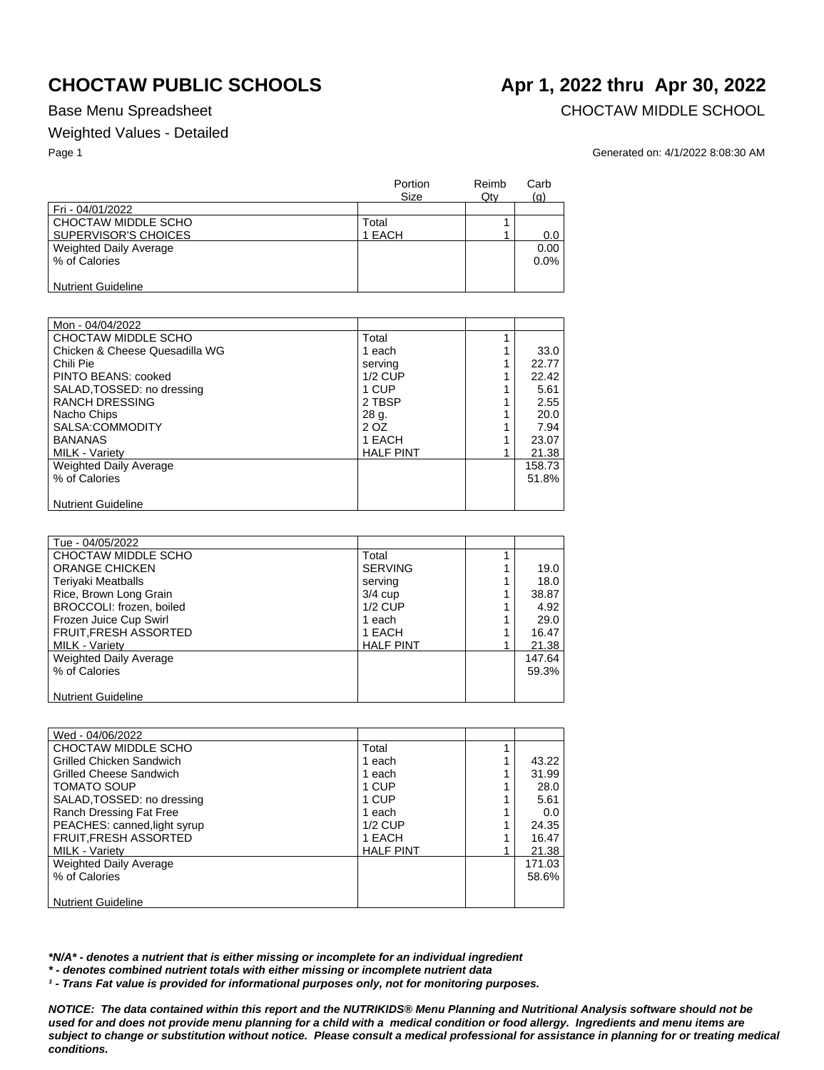## Weighted Values - Detailed

Base Menu Spreadsheet **CHOCTAW MIDDLE SCHOOL** 

Page 1 Generated on: 4/1/2022 8:08:30 AM

|                               | Portion<br><b>Size</b> | Reimb<br>Qty | Carb<br>(q) |
|-------------------------------|------------------------|--------------|-------------|
| Fri - 04/01/2022              |                        |              |             |
| CHOCTAW MIDDLE SCHO           | Total                  |              |             |
| SUPERVISOR'S CHOICES          | 1 EACH                 |              | 0.0         |
| <b>Weighted Daily Average</b> |                        |              | 0.00        |
| % of Calories                 |                        |              | $0.0\%$     |
|                               |                        |              |             |
| <b>Nutrient Guideline</b>     |                        |              |             |

| Mon - 04/04/2022               |                  |        |
|--------------------------------|------------------|--------|
| CHOCTAW MIDDLE SCHO            | Total            |        |
| Chicken & Cheese Quesadilla WG | 1 each           | 33.0   |
| Chili Pie                      | serving          | 22.77  |
| PINTO BEANS: cooked            | $1/2$ CUP        | 22.42  |
| SALAD, TOSSED: no dressing     | 1 CUP            | 5.61   |
| <b>RANCH DRESSING</b>          | 2 TBSP           | 2.55   |
| Nacho Chips                    | 28 g.            | 20.0   |
| SALSA:COMMODITY                | 2 OZ             | 7.94   |
| <b>BANANAS</b>                 | 1 EACH           | 23.07  |
| <b>MILK - Varietv</b>          | <b>HALF PINT</b> | 21.38  |
| <b>Weighted Daily Average</b>  |                  | 158.73 |
| % of Calories                  |                  | 51.8%  |
|                                |                  |        |
| <b>Nutrient Guideline</b>      |                  |        |

| Tue - 04/05/2022          |                  |        |
|---------------------------|------------------|--------|
| CHOCTAW MIDDLE SCHO       | Total            |        |
|                           |                  |        |
| <b>ORANGE CHICKEN</b>     | <b>SERVING</b>   | 19.0   |
| <b>Teriyaki Meatballs</b> | serving          | 18.0   |
| Rice, Brown Long Grain    | $3/4$ cup        | 38.87  |
| BROCCOLI: frozen, boiled  | $1/2$ CUP        | 4.92   |
| Frozen Juice Cup Swirl    | 1 each           | 29.0   |
| FRUIT, FRESH ASSORTED     | 1 EACH           | 16.47  |
| MILK - Variety            | <b>HALF PINT</b> | 21.38  |
| Weighted Daily Average    |                  | 147.64 |
| % of Calories             |                  | 59.3%  |
|                           |                  |        |
| <b>Nutrient Guideline</b> |                  |        |

| Wed - 04/06/2022              |                  |        |
|-------------------------------|------------------|--------|
| CHOCTAW MIDDLE SCHO           | Total            |        |
| Grilled Chicken Sandwich      | 1 each           | 43.22  |
| Grilled Cheese Sandwich       | 1 each           | 31.99  |
| <b>TOMATO SOUP</b>            | 1 CUP            | 28.0   |
| SALAD, TOSSED: no dressing    | 1 CUP            | 5.61   |
| Ranch Dressing Fat Free       | 1 each           | 0.0    |
| PEACHES: canned, light syrup  | $1/2$ CUP        | 24.35  |
| <b>FRUIT, FRESH ASSORTED</b>  | 1 EACH           | 16.47  |
| <b>MILK - Variety</b>         | <b>HALF PINT</b> | 21.38  |
| <b>Weighted Daily Average</b> |                  | 171.03 |
| % of Calories                 |                  | 58.6%  |
|                               |                  |        |
| <b>Nutrient Guideline</b>     |                  |        |

*\*N/A\* - denotes a nutrient that is either missing or incomplete for an individual ingredient*

*\* - denotes combined nutrient totals with either missing or incomplete nutrient data*

*¹ - Trans Fat value is provided for informational purposes only, not for monitoring purposes.*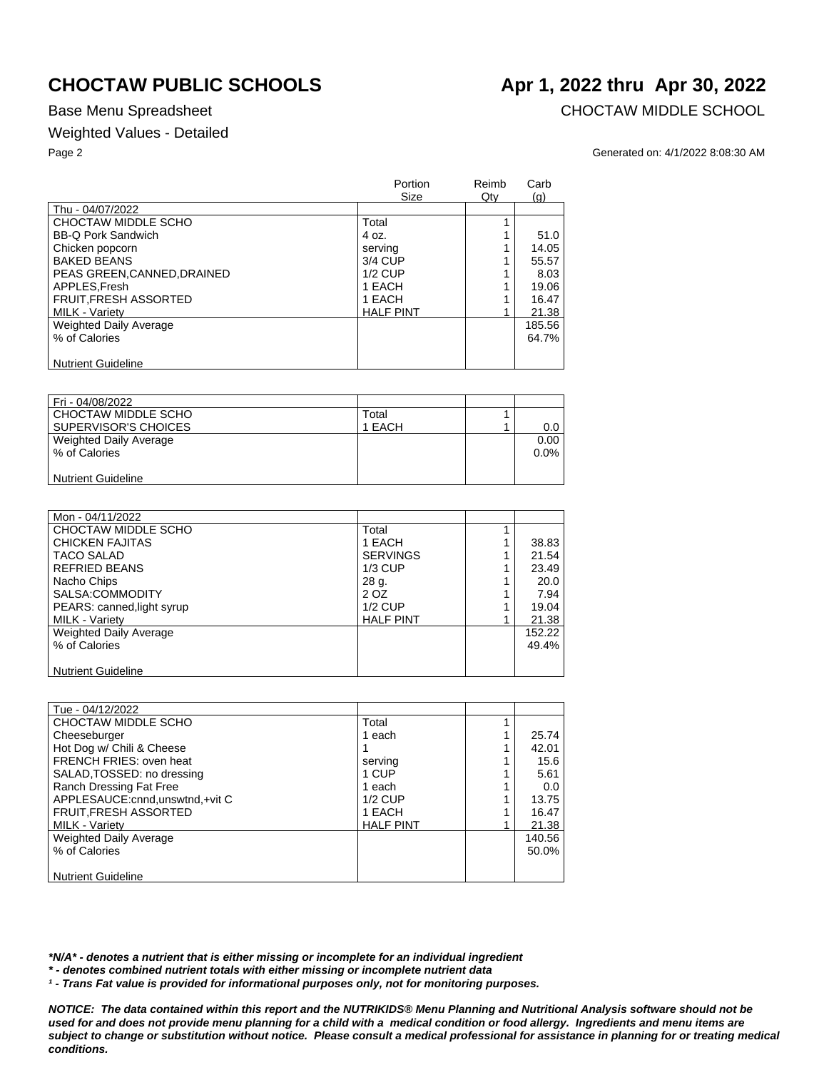## Weighted Values - Detailed

Base Menu Spreadsheet **CHOCTAW MIDDLE SCHOOL** 

### Page 2 Generated on: 4/1/2022 8:08:30 AM

|                               | Portion<br>Size  | Reimb<br>Qty | Carb<br>(q) |
|-------------------------------|------------------|--------------|-------------|
| Thu - 04/07/2022              |                  |              |             |
| CHOCTAW MIDDLE SCHO           | Total            |              |             |
| <b>BB-Q Pork Sandwich</b>     | 4 oz.            |              | 51.0        |
| Chicken popcorn               | serving          |              | 14.05       |
| <b>BAKED BEANS</b>            | 3/4 CUP          |              | 55.57       |
| PEAS GREEN.CANNED.DRAINED     | $1/2$ CUP        |              | 8.03        |
| APPLES.Fresh                  | 1 EACH           |              | 19.06       |
| FRUIT, FRESH ASSORTED         | 1 EACH           |              | 16.47       |
| <b>MILK - Variety</b>         | <b>HALF PINT</b> |              | 21.38       |
| <b>Weighted Daily Average</b> |                  |              | 185.56      |
| % of Calories                 |                  |              | 64.7%       |
|                               |                  |              |             |
| <b>Nutrient Guideline</b>     |                  |              |             |

| Fri - 04/08/2022          |        |         |
|---------------------------|--------|---------|
| CHOCTAW MIDDLE SCHO       | Total  |         |
| SUPERVISOR'S CHOICES      | 1 EACH | $0.0\,$ |
| Weighted Daily Average    |        | 0.00    |
| % of Calories             |        | $0.0\%$ |
|                           |        |         |
| <b>Nutrient Guideline</b> |        |         |

| Mon - 04/11/2022           |                  |        |
|----------------------------|------------------|--------|
| CHOCTAW MIDDLE SCHO        | Total            |        |
| <b>CHICKEN FAJITAS</b>     | 1 EACH           | 38.83  |
| <b>TACO SALAD</b>          | <b>SERVINGS</b>  | 21.54  |
| <b>REFRIED BEANS</b>       | $1/3$ CUP        | 23.49  |
| Nacho Chips                | 28 g.            | 20.0   |
| SALSA:COMMODITY            | 2 OZ             | 7.94   |
| PEARS: canned, light syrup | $1/2$ CUP        | 19.04  |
| MILK - Variety             | <b>HALF PINT</b> | 21.38  |
| Weighted Daily Average     |                  | 152.22 |
| % of Calories              |                  | 49.4%  |
|                            |                  |        |
| <b>Nutrient Guideline</b>  |                  |        |

| Tue - 04/12/2022                  |                  |        |
|-----------------------------------|------------------|--------|
| CHOCTAW MIDDLE SCHO               | Total            |        |
| Cheeseburger                      | 1 each           | 25.74  |
| Hot Dog w/ Chili & Cheese         |                  | 42.01  |
| FRENCH FRIES: oven heat           | serving          | 15.6   |
| SALAD, TOSSED: no dressing        | 1 CUP            | 5.61   |
| Ranch Dressing Fat Free           | 1 each           | 0.0    |
| APPLESAUCE: cnnd, unswtnd, +vit C | $1/2$ CUP        | 13.75  |
| <b>FRUIT, FRESH ASSORTED</b>      | 1 EACH           | 16.47  |
| MILK - Variety                    | <b>HALF PINT</b> | 21.38  |
| Weighted Daily Average            |                  | 140.56 |
| % of Calories                     |                  | 50.0%  |
|                                   |                  |        |
| <b>Nutrient Guideline</b>         |                  |        |

*\*N/A\* - denotes a nutrient that is either missing or incomplete for an individual ingredient*

*\* - denotes combined nutrient totals with either missing or incomplete nutrient data*

*¹ - Trans Fat value is provided for informational purposes only, not for monitoring purposes.*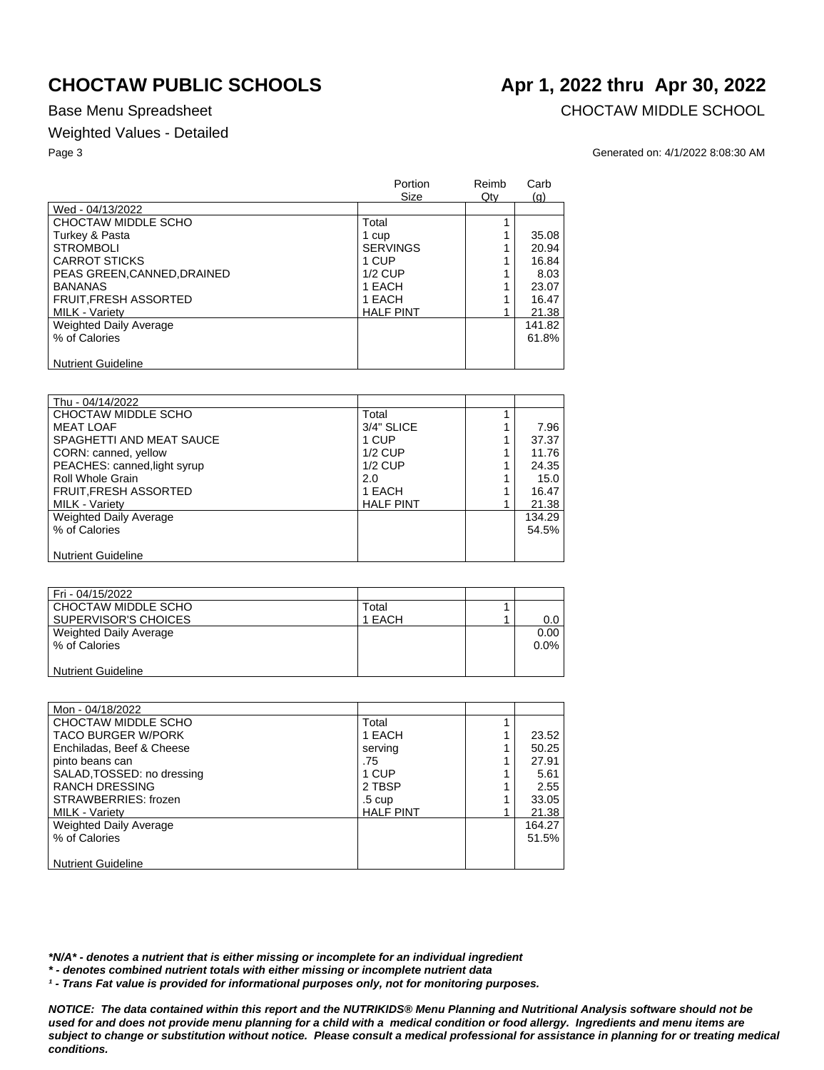## Weighted Values - Detailed

Base Menu Spreadsheet **CHOCTAW MIDDLE SCHOOL** 

### Page 3 Generated on: 4/1/2022 8:08:30 AM

|                              | Portion<br>Size  | Reimb<br>$Q$ ty | Carb<br>(q) |
|------------------------------|------------------|-----------------|-------------|
| Wed - 04/13/2022             |                  |                 |             |
| CHOCTAW MIDDLE SCHO          | Total            |                 |             |
| Turkey & Pasta               | 1 cup            |                 | 35.08       |
| <b>STROMBOLI</b>             | <b>SERVINGS</b>  |                 | 20.94       |
| <b>CARROT STICKS</b>         | 1 CUP            |                 | 16.84       |
| PEAS GREEN.CANNED.DRAINED    | $1/2$ CUP        |                 | 8.03        |
| <b>BANANAS</b>               | 1 EACH           |                 | 23.07       |
| <b>FRUIT, FRESH ASSORTED</b> | 1 EACH           |                 | 16.47       |
| <b>MILK - Variety</b>        | <b>HALF PINT</b> |                 | 21.38       |
| Weighted Daily Average       |                  |                 | 141.82      |
| % of Calories                |                  |                 | 61.8%       |
|                              |                  |                 |             |
| <b>Nutrient Guideline</b>    |                  |                 |             |

| Thu - 04/14/2022              |                  |        |
|-------------------------------|------------------|--------|
| CHOCTAW MIDDLE SCHO           | Total            |        |
| <b>MEAT LOAF</b>              | 3/4" SLICE       | 7.96   |
| SPAGHETTI AND MEAT SAUCE      | 1 CUP            | 37.37  |
| CORN: canned, yellow          | $1/2$ CUP        | 11.76  |
| PEACHES: canned, light syrup  | $1/2$ CUP        | 24.35  |
| Roll Whole Grain              | 2.0              | 15.0   |
| FRUIT, FRESH ASSORTED         | 1 EACH           | 16.47  |
| MILK - Variety                | <b>HALF PINT</b> | 21.38  |
| <b>Weighted Daily Average</b> |                  | 134.29 |
| % of Calories                 |                  | 54.5%  |
|                               |                  |        |
| <b>Nutrient Guideline</b>     |                  |        |

| Fri - 04/15/2022          |        |         |
|---------------------------|--------|---------|
| CHOCTAW MIDDLE SCHO       | Total  |         |
| SUPERVISOR'S CHOICES      | 1 EACH | 0.0     |
| Weighted Daily Average    |        | 0.00    |
| % of Calories             |        | $0.0\%$ |
|                           |        |         |
| <b>Nutrient Guideline</b> |        |         |

| Mon - 04/18/2022           |                  |        |
|----------------------------|------------------|--------|
| CHOCTAW MIDDLE SCHO        | Total            |        |
| <b>TACO BURGER W/PORK</b>  | 1 EACH           | 23.52  |
| Enchiladas, Beef & Cheese  | serving          | 50.25  |
| pinto beans can            | .75              | 27.91  |
| SALAD, TOSSED: no dressing | 1 CUP            | 5.61   |
| <b>RANCH DRESSING</b>      | 2 TBSP           | 2.55   |
| STRAWBERRIES: frozen       | $.5 \text{ cup}$ | 33.05  |
| MILK - Variety             | <b>HALF PINT</b> | 21.38  |
| Weighted Daily Average     |                  | 164.27 |
| % of Calories              |                  | 51.5%  |
|                            |                  |        |
| <b>Nutrient Guideline</b>  |                  |        |

*\*N/A\* - denotes a nutrient that is either missing or incomplete for an individual ingredient*

*\* - denotes combined nutrient totals with either missing or incomplete nutrient data*

*¹ - Trans Fat value is provided for informational purposes only, not for monitoring purposes.*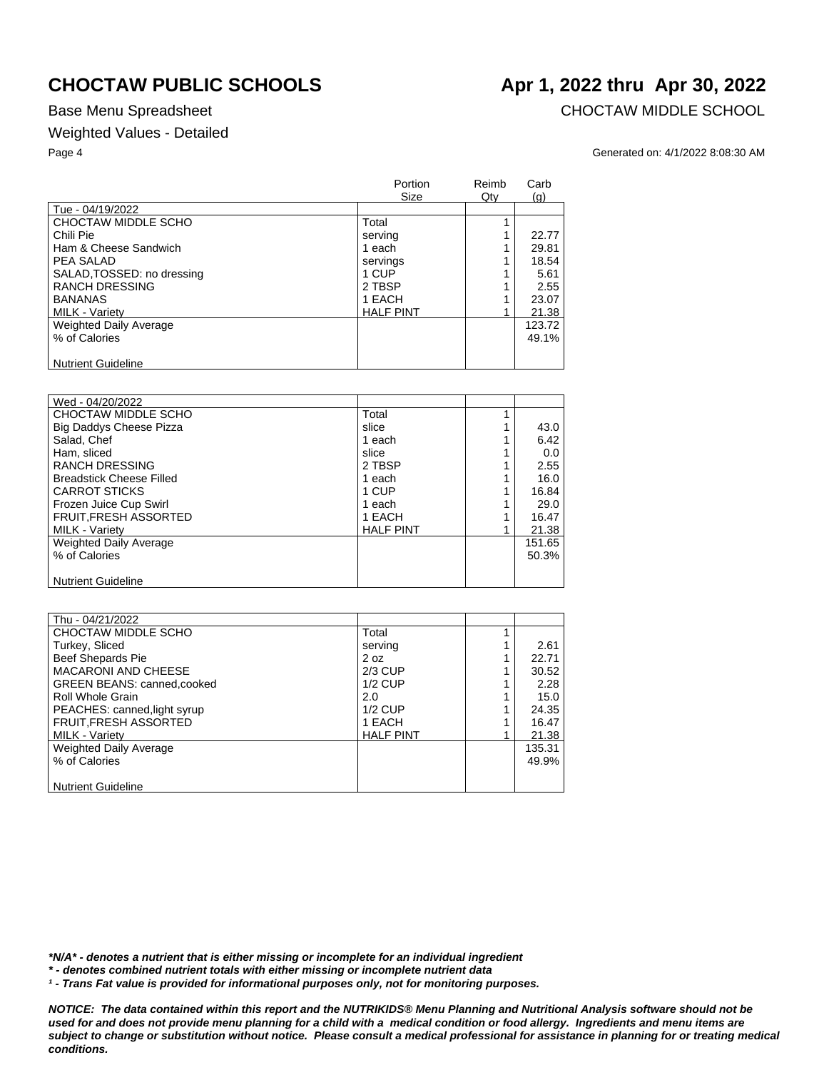## Weighted Values - Detailed

Base Menu Spreadsheet **CHOCTAW MIDDLE SCHOOL** 

### Page 4 Generated on: 4/1/2022 8:08:30 AM

|                            | Portion<br><b>Size</b> | Reimb<br>Qty | Carb<br>(q) |
|----------------------------|------------------------|--------------|-------------|
| Tue - 04/19/2022           |                        |              |             |
| CHOCTAW MIDDLE SCHO        | Total                  |              |             |
| Chili Pie                  | serving                |              | 22.77       |
| Ham & Cheese Sandwich      | 1 each                 |              | 29.81       |
| PEA SALAD                  | servings               |              | 18.54       |
| SALAD, TOSSED: no dressing | 1 CUP                  |              | 5.61        |
| <b>RANCH DRESSING</b>      | 2 TBSP                 |              | 2.55        |
| <b>BANANAS</b>             | 1 EACH                 |              | 23.07       |
| <b>MILK - Varietv</b>      | <b>HALF PINT</b>       |              | 21.38       |
| Weighted Daily Average     |                        |              | 123.72      |
| % of Calories              |                        |              | 49.1%       |
|                            |                        |              |             |
| <b>Nutrient Guideline</b>  |                        |              |             |

| Wed - 04/20/2022                |                  |        |
|---------------------------------|------------------|--------|
| CHOCTAW MIDDLE SCHO             | Total            |        |
| <b>Big Daddys Cheese Pizza</b>  | slice            | 43.0   |
| Salad, Chef                     | 1 each           | 6.42   |
| Ham, sliced                     | slice            | 0.0    |
| <b>RANCH DRESSING</b>           | 2 TBSP           | 2.55   |
| <b>Breadstick Cheese Filled</b> | 1 each           | 16.0   |
| <b>CARROT STICKS</b>            | 1 CUP            | 16.84  |
| Frozen Juice Cup Swirl          | 1 each           | 29.0   |
| <b>FRUIT, FRESH ASSORTED</b>    | 1 EACH           | 16.47  |
| <b>MILK - Varietv</b>           | <b>HALF PINT</b> | 21.38  |
| <b>Weighted Daily Average</b>   |                  | 151.65 |
| % of Calories                   |                  | 50.3%  |
|                                 |                  |        |
| <b>Nutrient Guideline</b>       |                  |        |

| Thu - 04/21/2022                   |                  |        |
|------------------------------------|------------------|--------|
| CHOCTAW MIDDLE SCHO                | Total            |        |
| Turkey, Sliced                     | serving          | 2.61   |
| Beef Shepards Pie                  | 2 oz             | 22.71  |
| <b>MACARONI AND CHEESE</b>         | $2/3$ CUP        | 30.52  |
| <b>GREEN BEANS: canned, cooked</b> | $1/2$ CUP        | 2.28   |
| <b>Roll Whole Grain</b>            | 2.0              | 15.0   |
| PEACHES: canned, light syrup       | $1/2$ CUP        | 24.35  |
| <b>FRUIT, FRESH ASSORTED</b>       | 1 EACH           | 16.47  |
| MILK - Variety                     | <b>HALF PINT</b> | 21.38  |
| Weighted Daily Average             |                  | 135.31 |
| % of Calories                      |                  | 49.9%  |
|                                    |                  |        |
| <b>Nutrient Guideline</b>          |                  |        |

*\*N/A\* - denotes a nutrient that is either missing or incomplete for an individual ingredient*

*\* - denotes combined nutrient totals with either missing or incomplete nutrient data*

*¹ - Trans Fat value is provided for informational purposes only, not for monitoring purposes.*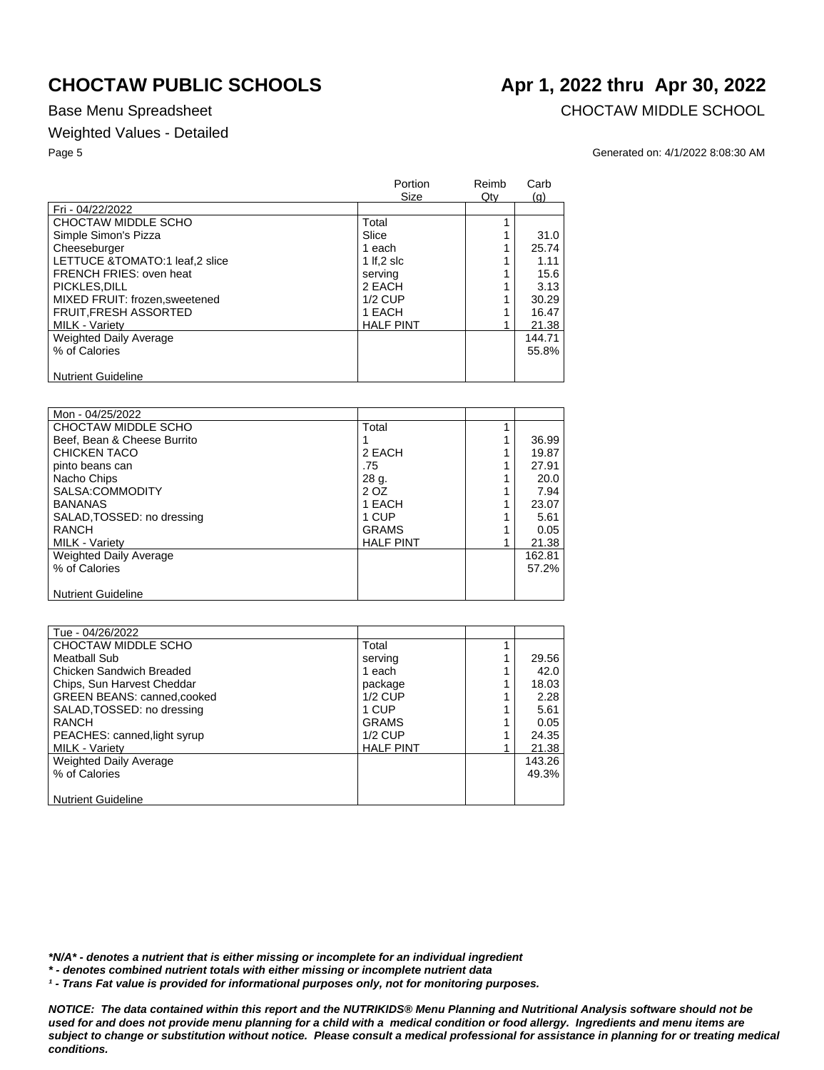## Weighted Values - Detailed

Base Menu Spreadsheet **CHOCTAW MIDDLE SCHOOL** 

### Page 5 Generated on: 4/1/2022 8:08:30 AM

|                                | <b>Portion</b><br>Size | Reimb<br>$Q$ ty | Carb<br>(q) |
|--------------------------------|------------------------|-----------------|-------------|
| Fri - 04/22/2022               |                        |                 |             |
| CHOCTAW MIDDLE SCHO            | Total                  |                 |             |
| Simple Simon's Pizza           | Slice                  |                 | 31.0        |
| Cheeseburger                   | 1 each                 |                 | 25.74       |
| LETTUCE &TOMATO:1 leaf,2 slice | 1 If.2 slc             |                 | 1.11        |
| FRENCH FRIES: oven heat        | serving                |                 | 15.6        |
| PICKLES, DILL                  | 2 EACH                 |                 | 3.13        |
| MIXED FRUIT: frozen.sweetened  | $1/2$ CUP              |                 | 30.29       |
| <b>FRUIT, FRESH ASSORTED</b>   | 1 EACH                 |                 | 16.47       |
| <b>MILK - Variety</b>          | <b>HALF PINT</b>       |                 | 21.38       |
| Weighted Daily Average         |                        |                 | 144.71      |
| % of Calories                  |                        |                 | 55.8%       |
|                                |                        |                 |             |
| <b>Nutrient Guideline</b>      |                        |                 |             |

| Mon - 04/25/2022            |                  |        |
|-----------------------------|------------------|--------|
| CHOCTAW MIDDLE SCHO         | Total            |        |
| Beef. Bean & Cheese Burrito |                  | 36.99  |
| CHICKEN TACO                | 2 EACH           | 19.87  |
| pinto beans can             | .75              | 27.91  |
| Nacho Chips                 | 28 g.            | 20.0   |
| SALSA:COMMODITY             | 2 OZ             | 7.94   |
| <b>BANANAS</b>              | 1 EACH           | 23.07  |
| SALAD, TOSSED: no dressing  | 1 CUP            | 5.61   |
| RANCH                       | <b>GRAMS</b>     | 0.05   |
| <b>MILK - Variety</b>       | <b>HALF PINT</b> | 21.38  |
| Weighted Daily Average      |                  | 162.81 |
| % of Calories               |                  | 57.2%  |
|                             |                  |        |
| <b>Nutrient Guideline</b>   |                  |        |

| Tue - 04/26/2022                  |                  |        |
|-----------------------------------|------------------|--------|
| CHOCTAW MIDDLE SCHO               | Total            |        |
| Meatball Sub                      | serving          | 29.56  |
| Chicken Sandwich Breaded          | 1 each           | 42.0   |
| Chips, Sun Harvest Cheddar        | package          | 18.03  |
| <b>GREEN BEANS: canned,cooked</b> | $1/2$ CUP        | 2.28   |
| SALAD, TOSSED: no dressing        | 1 CUP            | 5.61   |
| RANCH                             | <b>GRAMS</b>     | 0.05   |
| PEACHES: canned, light syrup      | $1/2$ CUP        | 24.35  |
| <b>MILK - Variety</b>             | <b>HALF PINT</b> | 21.38  |
| Weighted Daily Average            |                  | 143.26 |
| % of Calories                     |                  | 49.3%  |
|                                   |                  |        |
| <b>Nutrient Guideline</b>         |                  |        |

*\*N/A\* - denotes a nutrient that is either missing or incomplete for an individual ingredient*

*\* - denotes combined nutrient totals with either missing or incomplete nutrient data*

*¹ - Trans Fat value is provided for informational purposes only, not for monitoring purposes.*